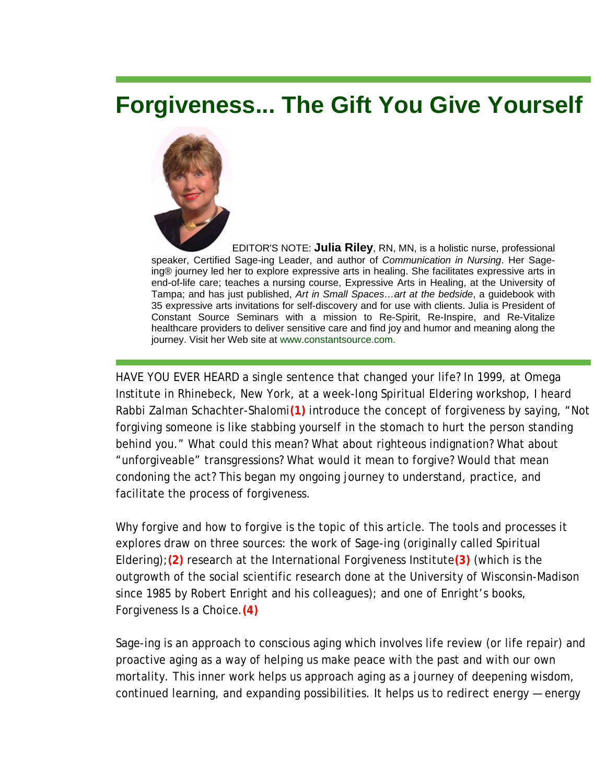## **Forgiveness... The Gift You Give Yourself**



EDITOR'S NOTE: **Julia Riley**, RN, MN, is a holistic nurse, professional speaker, Certified Sage-ing Leader, and author of *Communication in Nursing*. Her Sageing® journey led her to explore expressive arts in healing. She facilitates expressive arts in end-of-life care; teaches a nursing course, Expressive Arts in Healing, at the University of Tampa; and has just published, *Art in Small Spaces…art at the bedside*, a guidebook with 35 expressive arts invitations for self-discovery and for use with clients. Julia is President of Constant Source Seminars with a mission to Re-Spirit, Re-Inspire, and Re-Vitalize healthcare providers to deliver sensitive care and find joy and humor and meaning along the journey. Visit her Web site at www.constantsource.com.

HAVE YOU EVER HEARD a single sentence that changed your life? In 1999, at Omega Institute in Rhinebeck, New York, at a week-long Spiritual Eldering workshop, I heard Rabbi Zalman Schachter-Shalomi**(1)** introduce the concept of forgiveness by saying, "Not forgiving someone is like stabbing yourself in the stomach to hurt the person standing behind you." What could this mean? What about righteous indignation? What about "unforgiveable" transgressions? What would it mean to forgive? Would that mean condoning the act? This began my ongoing journey to understand, practice, and facilitate the process of forgiveness.

Why forgive and how to forgive is the topic of this article. The tools and processes it explores draw on three sources: the work of Sage-ing (originally called Spiritual Eldering);**(2)** research at the International Forgiveness Institute**(3)** (which is the outgrowth of the social scientific research done at the University of Wisconsin-Madison since 1985 by Robert Enright and his colleagues); and one of Enright's books, *Forgiveness Is a Choice*.**(4)**

Sage-ing is an approach to conscious aging which involves life review (or life repair) and proactive aging as a way of helping us make peace with the past and with our own mortality. This inner work helps us approach aging as a journey of deepening wisdom, continued learning, and expanding possibilities. It helps us to redirect energy — energy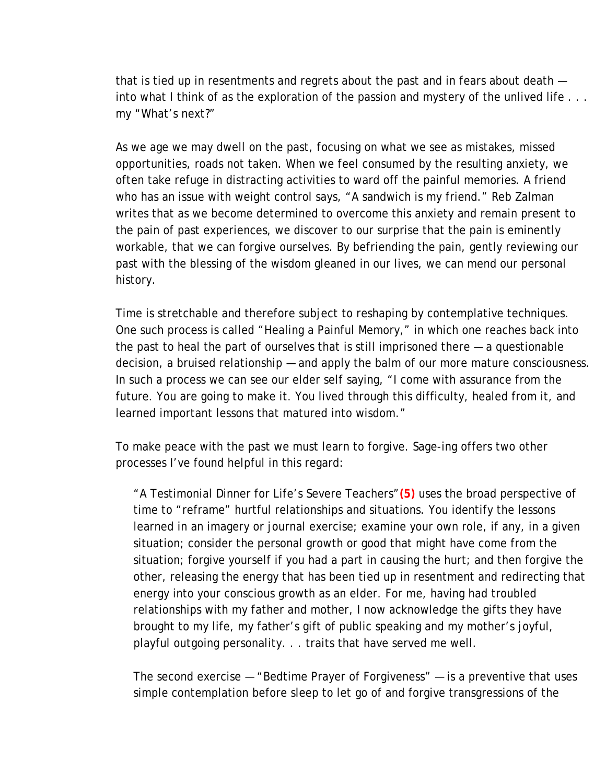that is tied up in resentments and regrets about the past and in fears about death into what I think of as the exploration of the passion and mystery of the unlived life . . . my "What's next?"

As we age we may dwell on the past, focusing on what we see as mistakes, missed opportunities, roads not taken. When we feel consumed by the resulting anxiety, we often take refuge in distracting activities to ward off the painful memories. A friend who has an issue with weight control says, "A sandwich is my friend." Reb Zalman writes that as we become determined to overcome this anxiety and remain present to the pain of past experiences, we discover to our surprise that the pain is eminently workable, that we can forgive ourselves. By befriending the pain, gently reviewing our past with the blessing of the wisdom gleaned in our lives, we can mend our personal history.

Time is stretchable and therefore subject to reshaping by contemplative techniques. One such process is called "Healing a Painful Memory," in which one reaches back into the past to heal the part of ourselves that is still imprisoned there — a questionable decision, a bruised relationship — and apply the balm of our more mature consciousness. In such a process we can see our elder self saying, "I come with assurance from the future. You are going to make it. You lived through this difficulty, healed from it, and learned important lessons that matured into wisdom."

To make peace with the past we must learn to forgive. Sage-ing offers two other processes I've found helpful in this regard:

"A Testimonial Dinner for Life's Severe Teachers"**(5)** uses the broad perspective of time to "reframe" hurtful relationships and situations. You identify the lessons learned in an imagery or journal exercise; examine your own role, if any, in a given situation; consider the personal growth or good that might have come from the situation; forgive yourself if you had a part in causing the hurt; and then forgive the other, releasing the energy that has been tied up in resentment and redirecting that energy into your conscious growth as an elder. For me, having had troubled relationships with my father and mother, I now acknowledge the gifts they have brought to my life, my father's gift of public speaking and my mother's joyful, playful outgoing personality. . . traits that have served me well.

The second exercise — "Bedtime Prayer of Forgiveness" — is a preventive that uses simple contemplation before sleep to let go of and forgive transgressions of the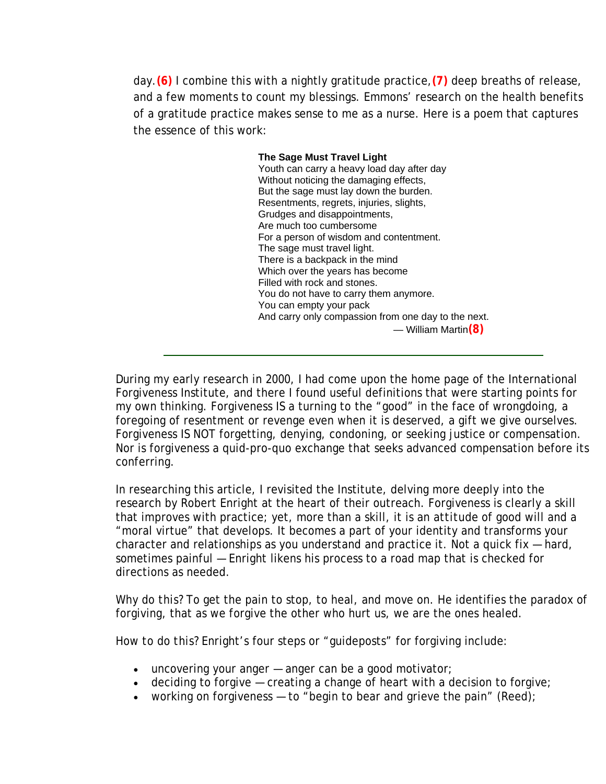day.**(6)** I combine this with a nightly gratitude practice,**(7)** deep breaths of release, and a few moments to count my blessings. Emmons' research on the health benefits of a gratitude practice makes sense to me as a nurse. Here is a poem that captures the essence of this work:

> **The Sage Must Travel Light**  Youth can carry a heavy load day after day Without noticing the damaging effects, But the sage must lay down the burden. Resentments, regrets, injuries, slights, Grudges and disappointments, Are much too cumbersome For a person of wisdom and contentment. The sage must travel light. There is a backpack in the mind Which over the years has become Filled with rock and stones. You do not have to carry them anymore. You can empty your pack And carry only compassion from one day to the next. — William Martin**(8)**

During my early research in 2000, I had come upon the home page of the International Forgiveness Institute, and there I found useful definitions that were starting points for my own thinking. Forgiveness IS a turning to the "good" in the face of wrongdoing, a foregoing of resentment or revenge even when it is deserved, a gift we give ourselves. Forgiveness IS NOT forgetting, denying, condoning, or seeking justice or compensation. Nor is forgiveness a quid-pro-quo exchange that seeks advanced compensation before its conferring.

In researching this article, I revisited the Institute, delving more deeply into the research by Robert Enright at the heart of their outreach. Forgiveness is clearly a skill that improves with practice; yet, more than a skill, it is an *attitude* of good will and a "moral virtue" that develops. It becomes a part of your identity and transforms your character and relationships as you understand and practice it. Not a quick fix — hard, sometimes painful — Enright likens his process to a road map that is checked for directions as needed.

*Why do this?* To get the pain to stop, to heal, and move on. He identifies the paradox of forgiving, that as we forgive the other who hurt us, we are the ones healed.

*How to do this?* Enright's four steps or "guideposts" for forgiving include:

- $\bullet$  uncovering your anger  $-$  anger can be a good motivator;
- $\bullet$  deciding to forgive  $-$  creating a change of heart with a decision to forgive;
- working on forgiveness to "begin to bear and grieve the pain" (Reed);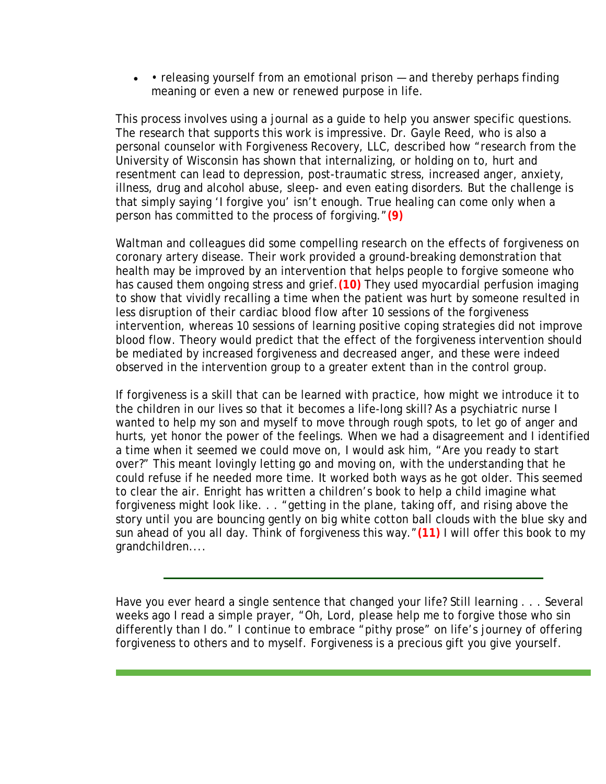• • releasing yourself from an emotional prison – and thereby perhaps finding meaning or even a new or renewed purpose in life.

This process involves using a journal as a guide to help you answer specific questions. The research that supports this work is impressive. Dr. Gayle Reed, who is also a personal counselor with Forgiveness Recovery, LLC, described how "research from the University of Wisconsin has shown that internalizing, or holding on to, hurt and resentment can lead to depression, post-traumatic stress, increased anger, anxiety, illness, drug and alcohol abuse, sleep- and even eating disorders. But the challenge is that simply saying 'I forgive you' isn't enough. True healing can come only when a person has committed to the process of forgiving."**(9)**

Waltman and colleagues did some compelling research on the effects of forgiveness on coronary artery disease. Their work provided a ground-breaking demonstration that health may be improved by an intervention that helps people to forgive someone who has caused them ongoing stress and grief.**(10)** They used myocardial perfusion imaging to show that vividly recalling a time when the patient was hurt by someone resulted in less disruption of their cardiac blood flow after 10 sessions of the forgiveness intervention, whereas 10 sessions of learning positive coping strategies did not improve blood flow. Theory would predict that the effect of the forgiveness intervention should be mediated by increased forgiveness and decreased anger, and these were indeed observed in the intervention group to a greater extent than in the control group.

If forgiveness is a skill that can be learned with practice, how might we introduce it to the children in our lives so that it becomes a life-long skill? As a psychiatric nurse I wanted to help my son and myself to move through rough spots, to let go of anger and hurts, yet honor the power of the feelings. When we had a disagreement and I identified a time when it seemed we could move on, I would ask him, "Are you ready to start over?" This meant lovingly letting go and moving on, with the understanding that he could refuse if he needed more time. It worked both ways as he got older. This seemed to clear the air. Enright has written a children's book to help a child imagine what forgiveness might look like. . . "getting in the plane, taking off, and rising above the story until you are bouncing gently on big white cotton ball clouds with the blue sky and sun ahead of you all day. Think of forgiveness this way."**(11)** I will offer this book to my grandchildren....

Have you ever heard a single sentence that changed your life? Still learning . . . Several weeks ago I read a simple prayer, "Oh, Lord, please help me to forgive those who sin differently than I do." I continue to embrace "pithy prose" on life's journey of offering forgiveness to others and to myself. Forgiveness is a precious gift you give yourself.